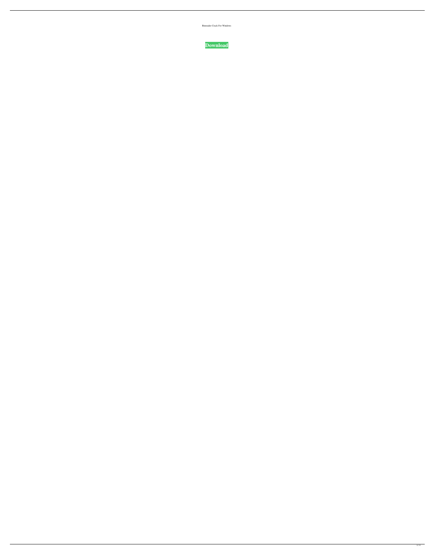Binreader Crack For Windows

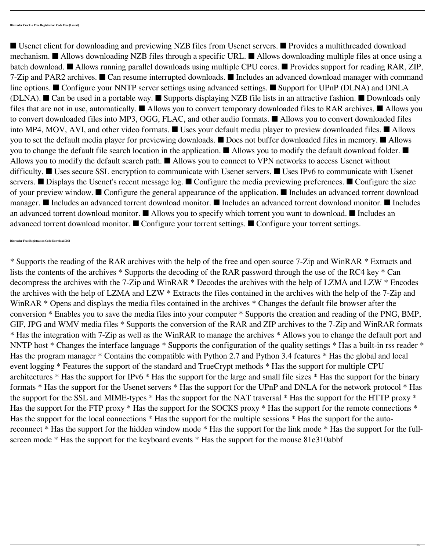■ Usenet client for downloading and previewing NZB files from Usenet servers. ■ Provides a multithreaded download mechanism. ■ Allows downloading NZB files through a specific URL. ■ Allows downloading multiple files at once using a batch download. ■ Allows running parallel downloads using multiple CPU cores. ■ Provides support for reading RAR, ZIP, 7-Zip and PAR2 archives. ■ Can resume interrupted downloads. ■ Includes an advanced download manager with command line options. ■ Configure your NNTP server settings using advanced settings. ■ Support for UPnP (DLNA) and DNLA (DLNA). ■ Can be used in a portable way. ■ Supports displaying NZB file lists in an attractive fashion. ■ Downloads only files that are not in use, automatically. ■ Allows you to convert temporary downloaded files to RAR archives. ■ Allows you to convert downloaded files into MP3, OGG, FLAC, and other audio formats. ■ Allows you to convert downloaded files into MP4, MOV, AVI, and other video formats. ■ Uses your default media player to preview downloaded files. ■ Allows you to set the default media player for previewing downloads. ■ Does not buffer downloaded files in memory. ■ Allows you to change the default file search location in the application. ■ Allows you to modify the default download folder. ■ Allows you to modify the default search path. ■ Allows you to connect to VPN networks to access Usenet without difficulty. ■ Uses secure SSL encryption to communicate with Usenet servers. ■ Uses IPv6 to communicate with Usenet servers. ■ Displays the Usenet's recent message log. ■ Configure the media previewing preferences. ■ Configure the size of your preview window. ■ Configure the general appearance of the application. ■ Includes an advanced torrent download manager. ■ Includes an advanced torrent download monitor. ■ Includes an advanced torrent download monitor. ■ Includes an advanced torrent download monitor. ■ Allows you to specify which torrent you want to download. ■ Includes an advanced torrent download monitor. ■ Configure your torrent settings. ■ Configure your torrent settings.

\* Supports the reading of the RAR archives with the help of the free and open source 7-Zip and WinRAR \* Extracts and lists the contents of the archives \* Supports the decoding of the RAR password through the use of the RC4 key \* Can decompress the archives with the 7-Zip and WinRAR \* Decodes the archives with the help of LZMA and LZW \* Encodes the archives with the help of LZMA and LZW \* Extracts the files contained in the archives with the help of the 7-Zip and WinRAR \* Opens and displays the media files contained in the archives \* Changes the default file browser after the conversion \* Enables you to save the media files into your computer \* Supports the creation and reading of the PNG, BMP, GIF, JPG and WMV media files \* Supports the conversion of the RAR and ZIP archives to the 7-Zip and WinRAR formats \* Has the integration with 7-Zip as well as the WinRAR to manage the archives \* Allows you to change the default port and NNTP host \* Changes the interface language \* Supports the configuration of the quality settings \* Has a built-in rss reader \* Has the program manager \* Contains the compatible with Python 2.7 and Python 3.4 features \* Has the global and local event logging \* Features the support of the standard and TrueCrypt methods \* Has the support for multiple CPU architectures \* Has the support for IPv6 \* Has the support for the large and small file sizes \* Has the support for the binary formats \* Has the support for the Usenet servers \* Has the support for the UPnP and DNLA for the network protocol \* Has the support for the SSL and MIME-types \* Has the support for the NAT traversal \* Has the support for the HTTP proxy \* Has the support for the FTP proxy \* Has the support for the SOCKS proxy \* Has the support for the remote connections \* Has the support for the local connections \* Has the support for the multiple sessions \* Has the support for the autoreconnect \* Has the support for the hidden window mode \* Has the support for the link mode \* Has the support for the fullscreen mode \* Has the support for the keyboard events \* Has the support for the mouse 81e310abbf

**Binreader Free Registration Code Download X64**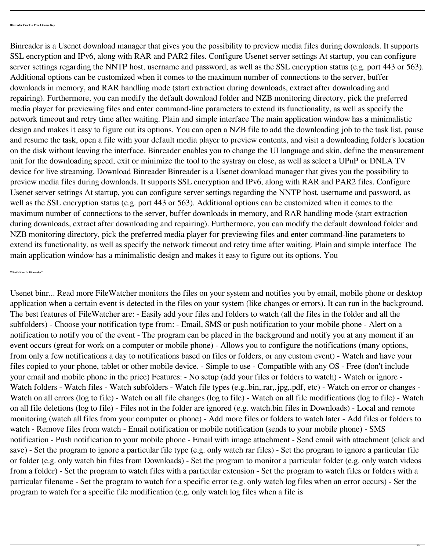Binreader is a Usenet download manager that gives you the possibility to preview media files during downloads. It supports SSL encryption and IPv6, along with RAR and PAR2 files. Configure Usenet server settings At startup, you can configure server settings regarding the NNTP host, username and password, as well as the SSL encryption status (e.g. port 443 or 563). Additional options can be customized when it comes to the maximum number of connections to the server, buffer downloads in memory, and RAR handling mode (start extraction during downloads, extract after downloading and repairing). Furthermore, you can modify the default download folder and NZB monitoring directory, pick the preferred media player for previewing files and enter command-line parameters to extend its functionality, as well as specify the network timeout and retry time after waiting. Plain and simple interface The main application window has a minimalistic design and makes it easy to figure out its options. You can open a NZB file to add the downloading job to the task list, pause and resume the task, open a file with your default media player to preview contents, and visit a downloading folder's location on the disk without leaving the interface. Binreader enables you to change the UI language and skin, define the measurement unit for the downloading speed, exit or minimize the tool to the systray on close, as well as select a UPnP or DNLA TV device for live streaming. Download Binreader Binreader is a Usenet download manager that gives you the possibility to preview media files during downloads. It supports SSL encryption and IPv6, along with RAR and PAR2 files. Configure Usenet server settings At startup, you can configure server settings regarding the NNTP host, username and password, as well as the SSL encryption status (e.g. port 443 or 563). Additional options can be customized when it comes to the maximum number of connections to the server, buffer downloads in memory, and RAR handling mode (start extraction during downloads, extract after downloading and repairing). Furthermore, you can modify the default download folder and NZB monitoring directory, pick the preferred media player for previewing files and enter command-line parameters to extend its functionality, as well as specify the network timeout and retry time after waiting. Plain and simple interface The main application window has a minimalistic design and makes it easy to figure out its options. You

**What's New In Binreader?**

Usenet binr... Read more FileWatcher monitors the files on your system and notifies you by email, mobile phone or desktop application when a certain event is detected in the files on your system (like changes or errors). It can run in the background. The best features of FileWatcher are: - Easily add your files and folders to watch (all the files in the folder and all the subfolders) - Choose your notification type from: - Email, SMS or push notification to your mobile phone - Alert on a notification to notify you of the event - The program can be placed in the background and notify you at any moment if an event occurs (great for work on a computer or mobile phone) - Allows you to configure the notifications (many options, from only a few notifications a day to notifications based on files or folders, or any custom event) - Watch and have your files copied to your phone, tablet or other mobile device. - Simple to use - Compatible with any OS - Free (don't include your email and mobile phone in the price) Features: - No setup (add your files or folders to watch) - Watch or ignore - Watch folders - Watch files - Watch subfolders - Watch file types (e.g..bin,.rar,.jpg,.pdf, etc) - Watch on error or changes - Watch on all errors (log to file) - Watch on all file changes (log to file) - Watch on all file modifications (log to file) - Watch on all file deletions (log to file) - Files not in the folder are ignored (e.g. watch.bin files in Downloads) - Local and remote monitoring (watch all files from your computer or phone) - Add more files or folders to watch later - Add files or folders to watch - Remove files from watch - Email notification or mobile notification (sends to your mobile phone) - SMS notification - Push notification to your mobile phone - Email with image attachment - Send email with attachment (click and save) - Set the program to ignore a particular file type (e.g. only watch rar files) - Set the program to ignore a particular file or folder (e.g. only watch bin files from Downloads) - Set the program to monitor a particular folder (e.g. only watch videos from a folder) - Set the program to watch files with a particular extension - Set the program to watch files or folders with a particular filename - Set the program to watch for a specific error (e.g. only watch log files when an error occurs) - Set the program to watch for a specific file modification (e.g. only watch log files when a file is